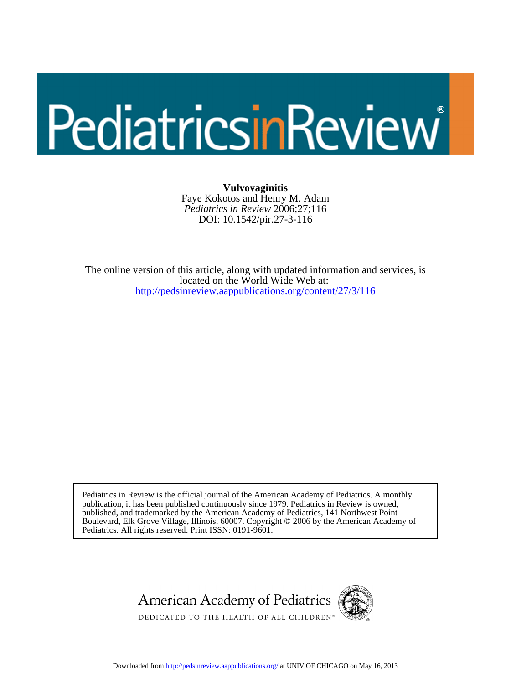# PediatricsinReview

DOI: 10.1542/pir.27-3-116 *Pediatrics in Review* 2006;27;116 Faye Kokotos and Henry M. Adam **Vulvovaginitis**

<http://pedsinreview.aappublications.org/content/27/3/116> located on the World Wide Web at: The online version of this article, along with updated information and services, is

Pediatrics. All rights reserved. Print ISSN: 0191-9601. Boulevard, Elk Grove Village, Illinois, 60007. Copyright © 2006 by the American Academy of published, and trademarked by the American Academy of Pediatrics, 141 Northwest Point publication, it has been published continuously since 1979. Pediatrics in Review is owned, Pediatrics in Review is the official journal of the American Academy of Pediatrics. A monthly



DEDICATED TO THE HEALTH OF ALL CHILDREN™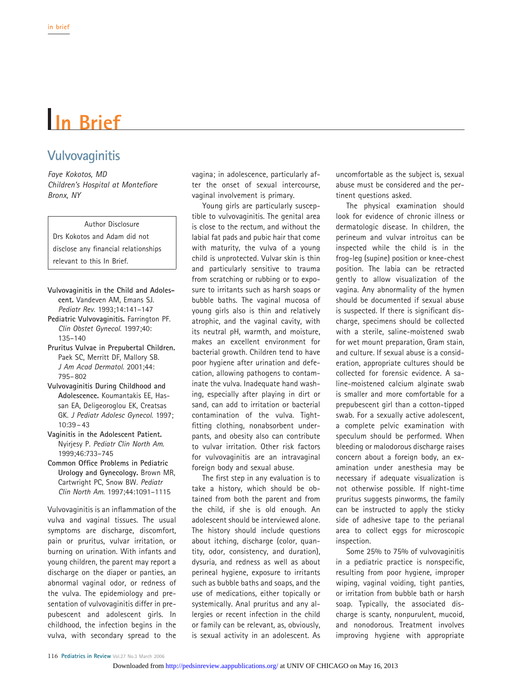#### **in brief**

## **In Brief**

## **Vulvovaginitis**

*Faye Kokotos, MD Children's Hospital at Montefiore Bronx, NY*

Author Disclosure Drs Kokotos and Adam did not disclose any financial relationships relevant to this In Brief.

- **Vulvovaginitis in the Child and Adolescent.** Vandeven AM, Emans SJ. *Pediatr Rev*. 1993;14:141–147
- **Pediatric Vulvovaginitis.** Farrington PF. *Clin Obstet Gynecol*. 1997;40: 135–140
- **Pruritus Vulvae in Prepubertal Children.** Paek SC, Merritt DF, Mallory SB. *J Am Acad Dermatol*. 2001;44: 795– 802
- **Vulvovaginitis During Childhood and Adolescence.** Koumantakis EE, Hassan EA, Deligeoroglou EK, Creatsas GK. *J Pediatr Adolesc Gynecol*. 1997;  $10:39 - 43$
- **Vaginitis in the Adolescent Patient.** Nyirjesy P. *Pediatr Clin North Am*. 1999;46:733–745
- **Common Office Problems in Pediatric Urology and Gynecology.** Brown MR, Cartwright PC, Snow BW. *Pediatr Clin North Am*. 1997;44:1091–1115

Vulvovaginitis is an inflammation of the vulva and vaginal tissues. The usual symptoms are discharge, discomfort, pain or pruritus, vulvar irritation, or burning on urination. With infants and young children, the parent may report a discharge on the diaper or panties, an abnormal vaginal odor, or redness of the vulva. The epidemiology and presentation of vulvovaginitis differ in prepubescent and adolescent girls. In childhood, the infection begins in the vulva, with secondary spread to the vagina; in adolescence, particularly after the onset of sexual intercourse, vaginal involvement is primary.

Young girls are particularly susceptible to vulvovaginitis. The genital area is close to the rectum, and without the labial fat pads and pubic hair that come with maturity, the vulva of a young child is unprotected. Vulvar skin is thin and particularly sensitive to trauma from scratching or rubbing or to exposure to irritants such as harsh soaps or bubble baths. The vaginal mucosa of young girls also is thin and relatively atrophic, and the vaginal cavity, with its neutral pH, warmth, and moisture, makes an excellent environment for bacterial growth. Children tend to have poor hygiene after urination and defecation, allowing pathogens to contaminate the vulva. Inadequate hand washing, especially after playing in dirt or sand, can add to irritation or bacterial contamination of the vulva. Tightfitting clothing, nonabsorbent underpants, and obesity also can contribute to vulvar irritation. Other risk factors for vulvovaginitis are an intravaginal foreign body and sexual abuse.

The first step in any evaluation is to take a history, which should be obtained from both the parent and from the child, if she is old enough. An adolescent should be interviewed alone. The history should include questions about itching, discharge (color, quantity, odor, consistency, and duration), dysuria, and redness as well as about perineal hygiene, exposure to irritants such as bubble baths and soaps, and the use of medications, either topically or systemically. Anal pruritus and any allergies or recent infection in the child or family can be relevant, as, obviously, is sexual activity in an adolescent. As

uncomfortable as the subject is, sexual abuse must be considered and the pertinent questions asked.

The physical examination should look for evidence of chronic illness or dermatologic disease. In children, the perineum and vulvar introitus can be inspected while the child is in the frog-leg (supine) position or knee-chest position. The labia can be retracted gently to allow visualization of the vagina. Any abnormality of the hymen should be documented if sexual abuse is suspected. If there is significant discharge, specimens should be collected with a sterile, saline-moistened swab for wet mount preparation, Gram stain, and culture. If sexual abuse is a consideration, appropriate cultures should be collected for forensic evidence. A saline-moistened calcium alginate swab is smaller and more comfortable for a prepubescent girl than a cotton-tipped swab. For a sexually active adolescent, a complete pelvic examination with speculum should be performed. When bleeding or malodorous discharge raises concern about a foreign body, an examination under anesthesia may be necessary if adequate visualization is not otherwise possible. If night-time pruritus suggests pinworms, the family can be instructed to apply the sticky side of adhesive tape to the perianal area to collect eggs for microscopic inspection.

Some 25% to 75% of vulvovaginitis in a pediatric practice is nonspecific, resulting from poor hygiene, improper wiping, vaginal voiding, tight panties, or irritation from bubble bath or harsh soap. Typically, the associated discharge is scanty, nonpurulent, mucoid, and nonodorous. Treatment involves improving hygiene with appropriate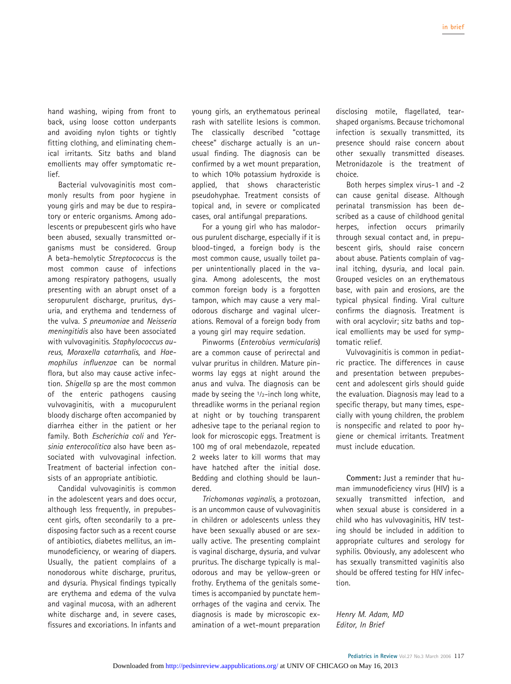hand washing, wiping from front to back, using loose cotton underpants and avoiding nylon tights or tightly fitting clothing, and eliminating chemical irritants. Sitz baths and bland emollients may offer symptomatic relief.

Bacterial vulvovaginitis most commonly results from poor hygiene in young girls and may be due to respiratory or enteric organisms. Among adolescents or prepubescent girls who have been abused, sexually transmitted organisms must be considered. Group A beta-hemolytic *Streptococcus* is the most common cause of infections among respiratory pathogens, usually presenting with an abrupt onset of a seropurulent discharge, pruritus, dysuria, and erythema and tenderness of the vulva. *S pneumoniae* and *Neisseria meningitidis* also have been associated with vulvovaginitis. *Staphylococcus aureus, Moraxella catarrhalis*, and *Haemophilus influenzae* can be normal flora, but also may cause active infection. *Shigella* sp are the most common of the enteric pathogens causing vulvovaginitis, with a mucopurulent bloody discharge often accompanied by diarrhea either in the patient or her family. Both *Escherichia coli* and *Yersinia enterocolitica* also have been associated with vulvovaginal infection. Treatment of bacterial infection consists of an appropriate antibiotic.

Candidal vulvovaginitis is common in the adolescent years and does occur, although less frequently, in prepubescent girls, often secondarily to a predisposing factor such as a recent course of antibiotics, diabetes mellitus, an immunodeficiency, or wearing of diapers. Usually, the patient complains of a nonodorous white discharge, pruritus, and dysuria. Physical findings typically are erythema and edema of the vulva and vaginal mucosa, with an adherent white discharge and, in severe cases, fissures and excoriations. In infants and

young girls, an erythematous perineal rash with satellite lesions is common. The classically described "cottage cheese" discharge actually is an unusual finding. The diagnosis can be confirmed by a wet mount preparation, to which 10% potassium hydroxide is applied, that shows characteristic pseudohyphae. Treatment consists of topical and, in severe or complicated cases, oral antifungal preparations.

For a young girl who has malodorous purulent discharge, especially if it is blood-tinged, a foreign body is the most common cause, usually toilet paper unintentionally placed in the vagina. Among adolescents, the most common foreign body is a forgotten tampon, which may cause a very malodorous discharge and vaginal ulcerations. Removal of a foreign body from a young girl may require sedation.

Pinworms (*Enterobius vermicularis*) are a common cause of perirectal and vulvar pruritus in children. Mature pinworms lay eggs at night around the anus and vulva. The diagnosis can be made by seeing the 1/2-inch long white, threadlike worms in the perianal region at night or by touching transparent adhesive tape to the perianal region to look for microscopic eggs. Treatment is 100 mg of oral mebendazole, repeated 2 weeks later to kill worms that may have hatched after the initial dose. Bedding and clothing should be laundered.

*Trichomonas vaginalis*, a protozoan, is an uncommon cause of vulvovaginitis in children or adolescents unless they have been sexually abused or are sexually active. The presenting complaint is vaginal discharge, dysuria, and vulvar pruritus. The discharge typically is malodorous and may be yellow-green or frothy. Erythema of the genitals sometimes is accompanied by punctate hemorrhages of the vagina and cervix. The diagnosis is made by microscopic examination of a wet-mount preparation disclosing motile, flagellated, tearshaped organisms. Because trichomonal infection is sexually transmitted, its presence should raise concern about other sexually transmitted diseases. Metronidazole is the treatment of choice.

Both herpes simplex virus-1 and -2 can cause genital disease. Although perinatal transmission has been described as a cause of childhood genital herpes, infection occurs primarily through sexual contact and, in prepubescent girls, should raise concern about abuse. Patients complain of vaginal itching, dysuria, and local pain. Grouped vesicles on an erythematous base, with pain and erosions, are the typical physical finding. Viral culture confirms the diagnosis. Treatment is with oral acyclovir; sitz baths and topical emollients may be used for symptomatic relief.

Vulvovaginitis is common in pediatric practice. The differences in cause and presentation between prepubescent and adolescent girls should guide the evaluation. Diagnosis may lead to a specific therapy, but many times, especially with young children, the problem is nonspecific and related to poor hygiene or chemical irritants. Treatment must include education.

**Comment:** Just a reminder that human immunodeficiency virus (HIV) is a sexually transmitted infection, and when sexual abuse is considered in a child who has vulvovaginitis, HIV testing should be included in addition to appropriate cultures and serology for syphilis. Obviously, any adolescent who has sexually transmitted vaginitis also should be offered testing for HIV infection.

Pediatrics in Review Vol.27 No.3 March 2006 117

*Henry M. Adam, MD Editor, In Brief*